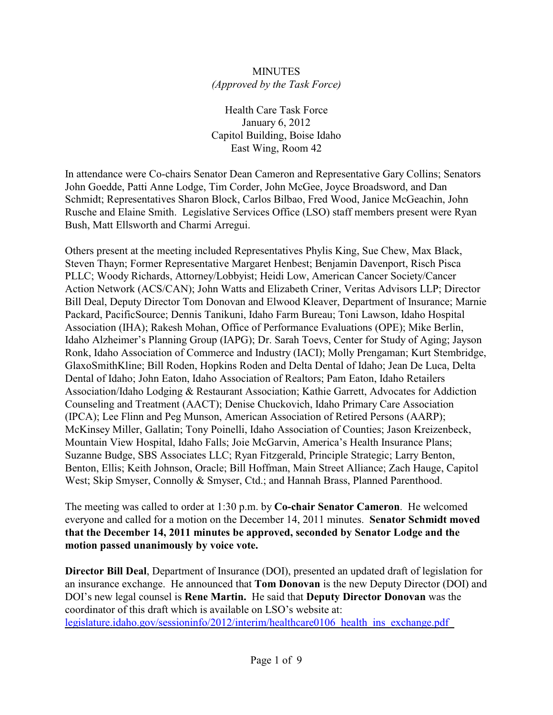## **MINUTES** *(Approved by the Task Force)*

Health Care Task Force January 6, 2012 Capitol Building, Boise Idaho East Wing, Room 42

In attendance were Co-chairs Senator Dean Cameron and Representative Gary Collins; Senators John Goedde, Patti Anne Lodge, Tim Corder, John McGee, Joyce Broadsword, and Dan Schmidt; Representatives Sharon Block, Carlos Bilbao, Fred Wood, Janice McGeachin, John Rusche and Elaine Smith. Legislative Services Office (LSO) staff members present were Ryan Bush, Matt Ellsworth and Charmi Arregui.

Others present at the meeting included Representatives Phylis King, Sue Chew, Max Black, Steven Thayn; Former Representative Margaret Henbest; Benjamin Davenport, Risch Pisca PLLC; Woody Richards, Attorney/Lobbyist; Heidi Low, American Cancer Society/Cancer Action Network (ACS/CAN); John Watts and Elizabeth Criner, Veritas Advisors LLP; Director Bill Deal, Deputy Director Tom Donovan and Elwood Kleaver, Department of Insurance; Marnie Packard, PacificSource; Dennis Tanikuni, Idaho Farm Bureau; Toni Lawson, Idaho Hospital Association (IHA); Rakesh Mohan, Office of Performance Evaluations (OPE); Mike Berlin, Idaho Alzheimer's Planning Group (IAPG); Dr. Sarah Toevs, Center for Study of Aging; Jayson Ronk, Idaho Association of Commerce and Industry (IACI); Molly Prengaman; Kurt Stembridge, GlaxoSmithKline; Bill Roden, Hopkins Roden and Delta Dental of Idaho; Jean De Luca, Delta Dental of Idaho; John Eaton, Idaho Association of Realtors; Pam Eaton, Idaho Retailers Association/Idaho Lodging & Restaurant Association; Kathie Garrett, Advocates for Addiction Counseling and Treatment (AACT); Denise Chuckovich, Idaho Primary Care Association (IPCA); Lee Flinn and Peg Munson, American Association of Retired Persons (AARP); McKinsey Miller, Gallatin; Tony Poinelli, Idaho Association of Counties; Jason Kreizenbeck, Mountain View Hospital, Idaho Falls; Joie McGarvin, America's Health Insurance Plans; Suzanne Budge, SBS Associates LLC; Ryan Fitzgerald, Principle Strategic; Larry Benton, Benton, Ellis; Keith Johnson, Oracle; Bill Hoffman, Main Street Alliance; Zach Hauge, Capitol West; Skip Smyser, Connolly & Smyser, Ctd.; and Hannah Brass, Planned Parenthood.

The meeting was called to order at 1:30 p.m. by **Co-chair Senator Cameron**. He welcomed everyone and called for a motion on the December 14, 2011 minutes. **Senator Schmidt moved that the December 14, 2011 minutes be approved, seconded by Senator Lodge and the motion passed unanimously by voice vote.** 

**Director Bill Deal**, Department of Insurance (DOI), presented an updated draft of legislation for an insurance exchange. He announced that **Tom Donovan** is the new Deputy Director (DOI) and DOI's new legal counsel is **Rene Martin.** He said that **Deputy Director Donovan** was the coordinator of this draft which is available on LSO's website at: legislature.idaho.gov/sessioninfo/2012/interim/healthcare0106 health ins exchange.pdf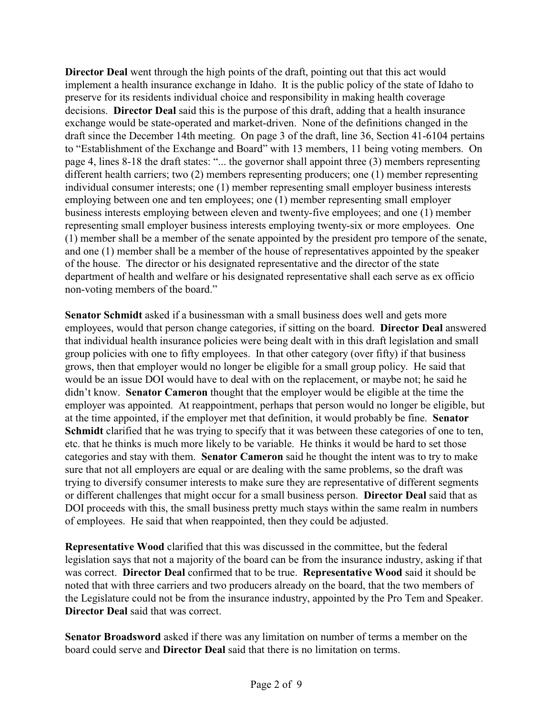**Director Deal** went through the high points of the draft, pointing out that this act would implement a health insurance exchange in Idaho. It is the public policy of the state of Idaho to preserve for its residents individual choice and responsibility in making health coverage decisions. **Director Deal** said this is the purpose of this draft, adding that a health insurance exchange would be state-operated and market-driven. None of the definitions changed in the draft since the December 14th meeting. On page 3 of the draft, line 36, Section 41-6104 pertains to "Establishment of the Exchange and Board" with 13 members, 11 being voting members. On page 4, lines 8-18 the draft states: "... the governor shall appoint three (3) members representing different health carriers; two (2) members representing producers; one (1) member representing individual consumer interests; one (1) member representing small employer business interests employing between one and ten employees; one (1) member representing small employer business interests employing between eleven and twenty-five employees; and one (1) member representing small employer business interests employing twenty-six or more employees. One (1) member shall be a member of the senate appointed by the president pro tempore of the senate, and one (1) member shall be a member of the house of representatives appointed by the speaker of the house. The director or his designated representative and the director of the state department of health and welfare or his designated representative shall each serve as ex officio non-voting members of the board."

**Senator Schmidt** asked if a businessman with a small business does well and gets more employees, would that person change categories, if sitting on the board. **Director Deal** answered that individual health insurance policies were being dealt with in this draft legislation and small group policies with one to fifty employees. In that other category (over fifty) if that business grows, then that employer would no longer be eligible for a small group policy. He said that would be an issue DOI would have to deal with on the replacement, or maybe not; he said he didn't know. **Senator Cameron** thought that the employer would be eligible at the time the employer was appointed. At reappointment, perhaps that person would no longer be eligible, but at the time appointed, if the employer met that definition, it would probably be fine. **Senator Schmidt** clarified that he was trying to specify that it was between these categories of one to ten, etc. that he thinks is much more likely to be variable. He thinks it would be hard to set those categories and stay with them. **Senator Cameron** said he thought the intent was to try to make sure that not all employers are equal or are dealing with the same problems, so the draft was trying to diversify consumer interests to make sure they are representative of different segments or different challenges that might occur for a small business person. **Director Deal** said that as DOI proceeds with this, the small business pretty much stays within the same realm in numbers of employees. He said that when reappointed, then they could be adjusted.

**Representative Wood** clarified that this was discussed in the committee, but the federal legislation says that not a majority of the board can be from the insurance industry, asking if that was correct. **Director Deal** confirmed that to be true. **Representative Wood** said it should be noted that with three carriers and two producers already on the board, that the two members of the Legislature could not be from the insurance industry, appointed by the Pro Tem and Speaker. **Director Deal** said that was correct.

**Senator Broadsword** asked if there was any limitation on number of terms a member on the board could serve and **Director Deal** said that there is no limitation on terms.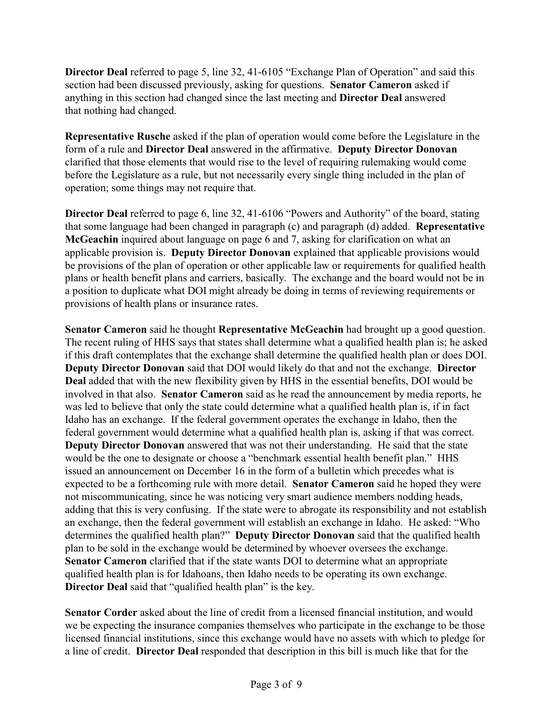**Director Deal** referred to page 5, line 32, 41-6105 "Exchange Plan of Operation" and said this section had been discussed previously, asking for questions. **Senator Cameron** asked if anything in this section had changed since the last meeting and **Director Deal** answered that nothing had changed.

**Representative Rusche** asked if the plan of operation would come before the Legislature in the form of a rule and **Director Deal** answered in the affirmative. **Deputy Director Donovan** clarified that those elements that would rise to the level of requiring rulemaking would come before the Legislature as a rule, but not necessarily every single thing included in the plan of operation; some things may not require that.

**Director Deal** referred to page 6, line 32, 41-6106 "Powers and Authority" of the board, stating that some language had been changed in paragraph (c) and paragraph (d) added. **Representative McGeachin** inquired about language on page 6 and 7, asking for clarification on what an applicable provision is. **Deputy Director Donovan** explained that applicable provisions would be provisions of the plan of operation or other applicable law or requirements for qualified health plans or health benefit plans and carriers, basically. The exchange and the board would not be in a position to duplicate what DOI might already be doing in terms of reviewing requirements or provisions of health plans or insurance rates.

**Senator Cameron** said he thought **Representative McGeachin** had brought up a good question. The recent ruling of HHS says that states shall determine what a qualified health plan is; he asked if this draft contemplates that the exchange shall determine the qualified health plan or does DOI. **Deputy Director Donovan** said that DOI would likely do that and not the exchange. **Director Deal** added that with the new flexibility given by HHS in the essential benefits, DOI would be involved in that also. **Senator Cameron** said as he read the announcement by media reports, he was led to believe that only the state could determine what a qualified health plan is, if in fact Idaho has an exchange. If the federal government operates the exchange in Idaho, then the federal government would determine what a qualified health plan is, asking if that was correct. **Deputy Director Donovan** answered that was not their understanding. He said that the state would be the one to designate or choose a "benchmark essential health benefit plan." HHS issued an announcement on December 16 in the form of a bulletin which precedes what is expected to be a forthcoming rule with more detail. **Senator Cameron** said he hoped they were not miscommunicating, since he was noticing very smart audience members nodding heads, adding that this is very confusing. If the state were to abrogate its responsibility and not establish an exchange, then the federal government will establish an exchange in Idaho. He asked: "Who determines the qualified health plan?" **Deputy Director Donovan** said that the qualified health plan to be sold in the exchange would be determined by whoever oversees the exchange. **Senator Cameron** clarified that if the state wants DOI to determine what an appropriate qualified health plan is for Idahoans, then Idaho needs to be operating its own exchange. **Director Deal** said that "qualified health plan" is the key.

**Senator Corder** asked about the line of credit from a licensed financial institution, and would we be expecting the insurance companies themselves who participate in the exchange to be those licensed financial institutions, since this exchange would have no assets with which to pledge for a line of credit. **Director Deal** responded that description in this bill is much like that for the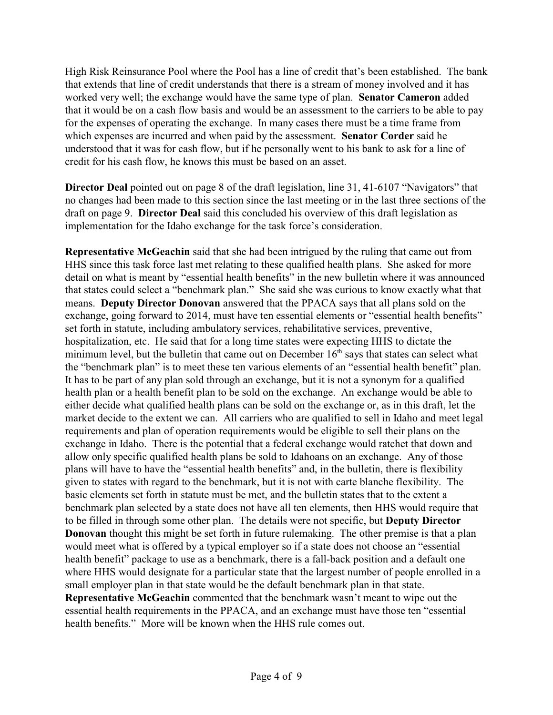High Risk Reinsurance Pool where the Pool has a line of credit that's been established. The bank that extends that line of credit understands that there is a stream of money involved and it has worked very well; the exchange would have the same type of plan. **Senator Cameron** added that it would be on a cash flow basis and would be an assessment to the carriers to be able to pay for the expenses of operating the exchange. In many cases there must be a time frame from which expenses are incurred and when paid by the assessment. **Senator Corder** said he understood that it was for cash flow, but if he personally went to his bank to ask for a line of credit for his cash flow, he knows this must be based on an asset.

**Director Deal** pointed out on page 8 of the draft legislation, line 31, 41-6107 "Navigators" that no changes had been made to this section since the last meeting or in the last three sections of the draft on page 9. **Director Deal** said this concluded his overview of this draft legislation as implementation for the Idaho exchange for the task force's consideration.

**Representative McGeachin** said that she had been intrigued by the ruling that came out from HHS since this task force last met relating to these qualified health plans. She asked for more detail on what is meant by "essential health benefits" in the new bulletin where it was announced that states could select a "benchmark plan." She said she was curious to know exactly what that means. **Deputy Director Donovan** answered that the PPACA says that all plans sold on the exchange, going forward to 2014, must have ten essential elements or "essential health benefits" set forth in statute, including ambulatory services, rehabilitative services, preventive, hospitalization, etc. He said that for a long time states were expecting HHS to dictate the minimum level, but the bulletin that came out on December  $16<sup>th</sup>$  says that states can select what the "benchmark plan" is to meet these ten various elements of an "essential health benefit" plan. It has to be part of any plan sold through an exchange, but it is not a synonym for a qualified health plan or a health benefit plan to be sold on the exchange. An exchange would be able to either decide what qualified health plans can be sold on the exchange or, as in this draft, let the market decide to the extent we can. All carriers who are qualified to sell in Idaho and meet legal requirements and plan of operation requirements would be eligible to sell their plans on the exchange in Idaho. There is the potential that a federal exchange would ratchet that down and allow only specific qualified health plans be sold to Idahoans on an exchange. Any of those plans will have to have the "essential health benefits" and, in the bulletin, there is flexibility given to states with regard to the benchmark, but it is not with carte blanche flexibility. The basic elements set forth in statute must be met, and the bulletin states that to the extent a benchmark plan selected by a state does not have all ten elements, then HHS would require that to be filled in through some other plan. The details were not specific, but **Deputy Director Donovan** thought this might be set forth in future rulemaking. The other premise is that a plan would meet what is offered by a typical employer so if a state does not choose an "essential health benefit" package to use as a benchmark, there is a fall-back position and a default one where HHS would designate for a particular state that the largest number of people enrolled in a small employer plan in that state would be the default benchmark plan in that state. **Representative McGeachin** commented that the benchmark wasn't meant to wipe out the essential health requirements in the PPACA, and an exchange must have those ten "essential health benefits." More will be known when the HHS rule comes out.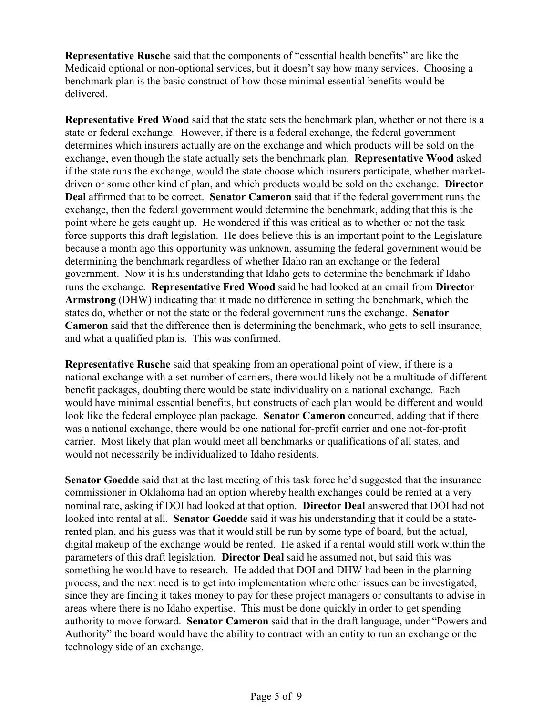**Representative Rusche** said that the components of "essential health benefits" are like the Medicaid optional or non-optional services, but it doesn't say how many services. Choosing a benchmark plan is the basic construct of how those minimal essential benefits would be delivered.

**Representative Fred Wood** said that the state sets the benchmark plan, whether or not there is a state or federal exchange. However, if there is a federal exchange, the federal government determines which insurers actually are on the exchange and which products will be sold on the exchange, even though the state actually sets the benchmark plan. **Representative Wood** asked if the state runs the exchange, would the state choose which insurers participate, whether marketdriven or some other kind of plan, and which products would be sold on the exchange. **Director Deal** affirmed that to be correct. **Senator Cameron** said that if the federal government runs the exchange, then the federal government would determine the benchmark, adding that this is the point where he gets caught up. He wondered if this was critical as to whether or not the task force supports this draft legislation. He does believe this is an important point to the Legislature because a month ago this opportunity was unknown, assuming the federal government would be determining the benchmark regardless of whether Idaho ran an exchange or the federal government. Now it is his understanding that Idaho gets to determine the benchmark if Idaho runs the exchange. **Representative Fred Wood** said he had looked at an email from **Director Armstrong** (DHW) indicating that it made no difference in setting the benchmark, which the states do, whether or not the state or the federal government runs the exchange. **Senator Cameron** said that the difference then is determining the benchmark, who gets to sell insurance, and what a qualified plan is. This was confirmed.

**Representative Rusche** said that speaking from an operational point of view, if there is a national exchange with a set number of carriers, there would likely not be a multitude of different benefit packages, doubting there would be state individuality on a national exchange. Each would have minimal essential benefits, but constructs of each plan would be different and would look like the federal employee plan package. **Senator Cameron** concurred, adding that if there was a national exchange, there would be one national for-profit carrier and one not-for-profit carrier. Most likely that plan would meet all benchmarks or qualifications of all states, and would not necessarily be individualized to Idaho residents.

**Senator Goedde** said that at the last meeting of this task force he'd suggested that the insurance commissioner in Oklahoma had an option whereby health exchanges could be rented at a very nominal rate, asking if DOI had looked at that option. **Director Deal** answered that DOI had not looked into rental at all. **Senator Goedde** said it was his understanding that it could be a staterented plan, and his guess was that it would still be run by some type of board, but the actual, digital makeup of the exchange would be rented. He asked if a rental would still work within the parameters of this draft legislation. **Director Deal** said he assumed not, but said this was something he would have to research. He added that DOI and DHW had been in the planning process, and the next need is to get into implementation where other issues can be investigated, since they are finding it takes money to pay for these project managers or consultants to advise in areas where there is no Idaho expertise. This must be done quickly in order to get spending authority to move forward. **Senator Cameron** said that in the draft language, under "Powers and Authority" the board would have the ability to contract with an entity to run an exchange or the technology side of an exchange.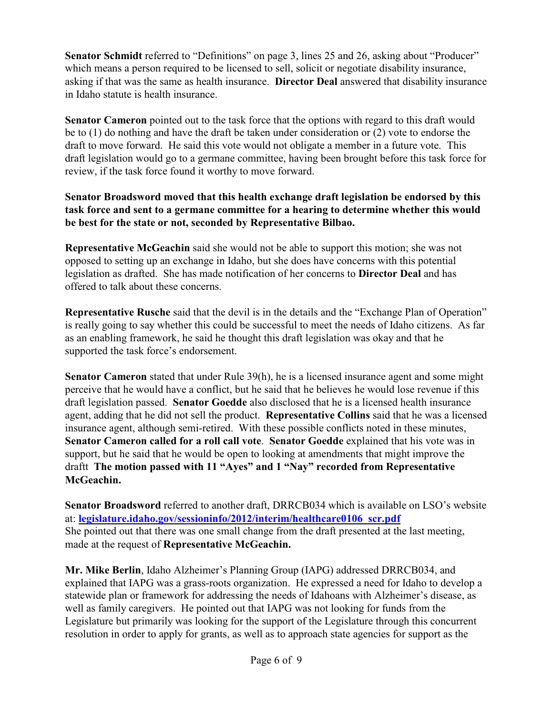**Senator Schmidt** referred to "Definitions" on page 3, lines 25 and 26, asking about "Producer" which means a person required to be licensed to sell, solicit or negotiate disability insurance, asking if that was the same as health insurance. **Director Deal** answered that disability insurance in Idaho statute is health insurance.

**Senator Cameron** pointed out to the task force that the options with regard to this draft would be to (1) do nothing and have the draft be taken under consideration or (2) vote to endorse the draft to move forward. He said this vote would not obligate a member in a future vote. This draft legislation would go to a germane committee, having been brought before this task force for review, if the task force found it worthy to move forward.

**Senator Broadsword moved that this health exchange draft legislation be endorsed by this task force and sent to a germane committee for a hearing to determine whether this would be best for the state or not, seconded by Representative Bilbao.**

**Representative McGeachin** said she would not be able to support this motion; she was not opposed to setting up an exchange in Idaho, but she does have concerns with this potential legislation as drafted. She has made notification of her concerns to **Director Deal** and has offered to talk about these concerns.

**Representative Rusche** said that the devil is in the details and the "Exchange Plan of Operation" is really going to say whether this could be successful to meet the needs of Idaho citizens. As far as an enabling framework, he said he thought this draft legislation was okay and that he supported the task force's endorsement.

**Senator Cameron** stated that under Rule 39(h), he is a licensed insurance agent and some might perceive that he would have a conflict, but he said that he believes he would lose revenue if this draft legislation passed. **Senator Goedde** also disclosed that he is a licensed health insurance agent, adding that he did not sell the product. **Representative Collins** said that he was a licensed insurance agent, although semi-retired. With these possible conflicts noted in these minutes, **Senator Cameron called for a roll call vote**. **Senator Goedde** explained that his vote was in support, but he said that he would be open to looking at amendments that might improve the draftt **The motion passed with 11 "Ayes" and 1 "Nay" recorded from Representative McGeachin.**

**Senator Broadsword** referred to another draft, DRRCB034 which is available on LSO's website at: **[legislature.idaho.gov/sessioninfo/2012/interim/healthcare0106\\_scr.pdf](http://legislature.idaho.gov/sessioninfo/2012/interim/healthcare0106_scr.pdf)** She pointed out that there was one small change from the draft presented at the last meeting, made at the request of **Representative McGeachin.**

**Mr. Mike Berlin**, Idaho Alzheimer's Planning Group (IAPG) addressed DRRCB034, and explained that IAPG was a grass-roots organization. He expressed a need for Idaho to develop a statewide plan or framework for addressing the needs of Idahoans with Alzheimer's disease, as well as family caregivers. He pointed out that IAPG was not looking for funds from the Legislature but primarily was looking for the support of the Legislature through this concurrent resolution in order to apply for grants, as well as to approach state agencies for support as the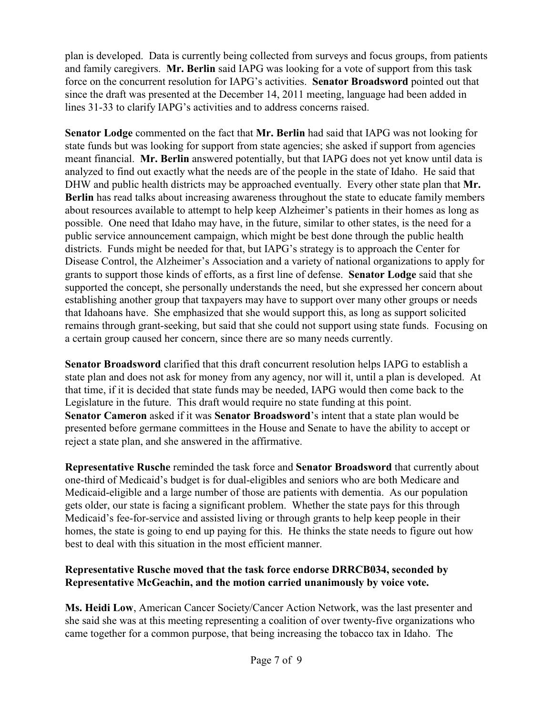plan is developed. Data is currently being collected from surveys and focus groups, from patients and family caregivers. **Mr. Berlin** said IAPG was looking for a vote of support from this task force on the concurrent resolution for IAPG's activities. **Senator Broadsword** pointed out that since the draft was presented at the December 14, 2011 meeting, language had been added in lines 31-33 to clarify IAPG's activities and to address concerns raised.

**Senator Lodge** commented on the fact that **Mr. Berlin** had said that IAPG was not looking for state funds but was looking for support from state agencies; she asked if support from agencies meant financial. **Mr. Berlin** answered potentially, but that IAPG does not yet know until data is analyzed to find out exactly what the needs are of the people in the state of Idaho. He said that DHW and public health districts may be approached eventually. Every other state plan that **Mr. Berlin** has read talks about increasing awareness throughout the state to educate family members about resources available to attempt to help keep Alzheimer's patients in their homes as long as possible. One need that Idaho may have, in the future, similar to other states, is the need for a public service announcement campaign, which might be best done through the public health districts. Funds might be needed for that, but IAPG's strategy is to approach the Center for Disease Control, the Alzheimer's Association and a variety of national organizations to apply for grants to support those kinds of efforts, as a first line of defense. **Senator Lodge** said that she supported the concept, she personally understands the need, but she expressed her concern about establishing another group that taxpayers may have to support over many other groups or needs that Idahoans have. She emphasized that she would support this, as long as support solicited remains through grant-seeking, but said that she could not support using state funds. Focusing on a certain group caused her concern, since there are so many needs currently.

**Senator Broadsword** clarified that this draft concurrent resolution helps IAPG to establish a state plan and does not ask for money from any agency, nor will it, until a plan is developed. At that time, if it is decided that state funds may be needed, IAPG would then come back to the Legislature in the future. This draft would require no state funding at this point. **Senator Cameron** asked if it was **Senator Broadsword**'s intent that a state plan would be presented before germane committees in the House and Senate to have the ability to accept or reject a state plan, and she answered in the affirmative.

**Representative Rusche** reminded the task force and **Senator Broadsword** that currently about one-third of Medicaid's budget is for dual-eligibles and seniors who are both Medicare and Medicaid-eligible and a large number of those are patients with dementia. As our population gets older, our state is facing a significant problem. Whether the state pays for this through Medicaid's fee-for-service and assisted living or through grants to help keep people in their homes, the state is going to end up paying for this. He thinks the state needs to figure out how best to deal with this situation in the most efficient manner.

## **Representative Rusche moved that the task force endorse DRRCB034, seconded by Representative McGeachin, and the motion carried unanimously by voice vote.**

**Ms. Heidi Low**, American Cancer Society/Cancer Action Network, was the last presenter and she said she was at this meeting representing a coalition of over twenty-five organizations who came together for a common purpose, that being increasing the tobacco tax in Idaho. The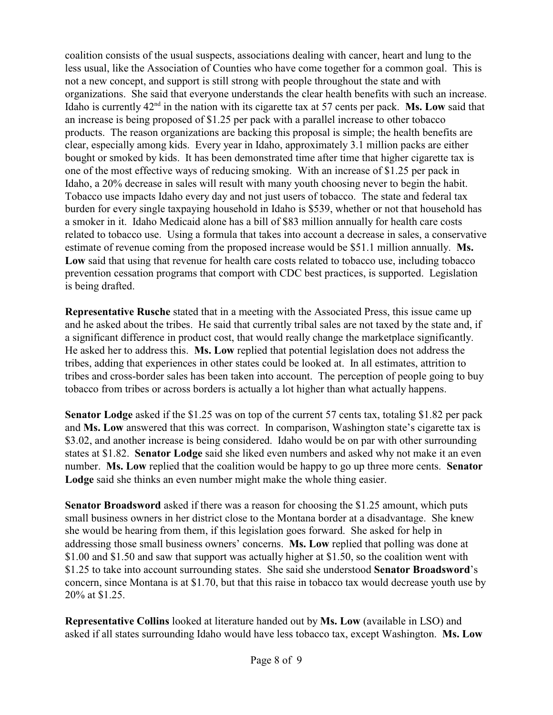coalition consists of the usual suspects, associations dealing with cancer, heart and lung to the less usual, like the Association of Counties who have come together for a common goal. This is not a new concept, and support is still strong with people throughout the state and with organizations. She said that everyone understands the clear health benefits with such an increase. Idaho is currently  $42<sup>nd</sup>$  in the nation with its cigarette tax at 57 cents per pack. **Ms. Low** said that an increase is being proposed of \$1.25 per pack with a parallel increase to other tobacco products. The reason organizations are backing this proposal is simple; the health benefits are clear, especially among kids. Every year in Idaho, approximately 3.1 million packs are either bought or smoked by kids. It has been demonstrated time after time that higher cigarette tax is one of the most effective ways of reducing smoking. With an increase of \$1.25 per pack in Idaho, a 20% decrease in sales will result with many youth choosing never to begin the habit. Tobacco use impacts Idaho every day and not just users of tobacco. The state and federal tax burden for every single taxpaying household in Idaho is \$539, whether or not that household has a smoker in it. Idaho Medicaid alone has a bill of \$83 million annually for health care costs related to tobacco use. Using a formula that takes into account a decrease in sales, a conservative estimate of revenue coming from the proposed increase would be \$51.1 million annually. **Ms. Low** said that using that revenue for health care costs related to tobacco use, including tobacco prevention cessation programs that comport with CDC best practices, is supported. Legislation is being drafted.

**Representative Rusche** stated that in a meeting with the Associated Press, this issue came up and he asked about the tribes. He said that currently tribal sales are not taxed by the state and, if a significant difference in product cost, that would really change the marketplace significantly. He asked her to address this. **Ms. Low** replied that potential legislation does not address the tribes, adding that experiences in other states could be looked at. In all estimates, attrition to tribes and cross-border sales has been taken into account. The perception of people going to buy tobacco from tribes or across borders is actually a lot higher than what actually happens.

**Senator Lodge** asked if the \$1.25 was on top of the current 57 cents tax, totaling \$1.82 per pack and **Ms. Low** answered that this was correct. In comparison, Washington state's cigarette tax is \$3.02, and another increase is being considered. Idaho would be on par with other surrounding states at \$1.82. **Senator Lodge** said she liked even numbers and asked why not make it an even number. **Ms. Low** replied that the coalition would be happy to go up three more cents. **Senator Lodge** said she thinks an even number might make the whole thing easier.

**Senator Broadsword** asked if there was a reason for choosing the \$1.25 amount, which puts small business owners in her district close to the Montana border at a disadvantage. She knew she would be hearing from them, if this legislation goes forward. She asked for help in addressing those small business owners' concerns. **Ms. Low** replied that polling was done at \$1.00 and \$1.50 and saw that support was actually higher at \$1.50, so the coalition went with \$1.25 to take into account surrounding states. She said she understood **Senator Broadsword**'s concern, since Montana is at \$1.70, but that this raise in tobacco tax would decrease youth use by 20% at \$1.25.

**Representative Collins** looked at literature handed out by **Ms. Low** (available in LSO) and asked if all states surrounding Idaho would have less tobacco tax, except Washington. **Ms. Low**